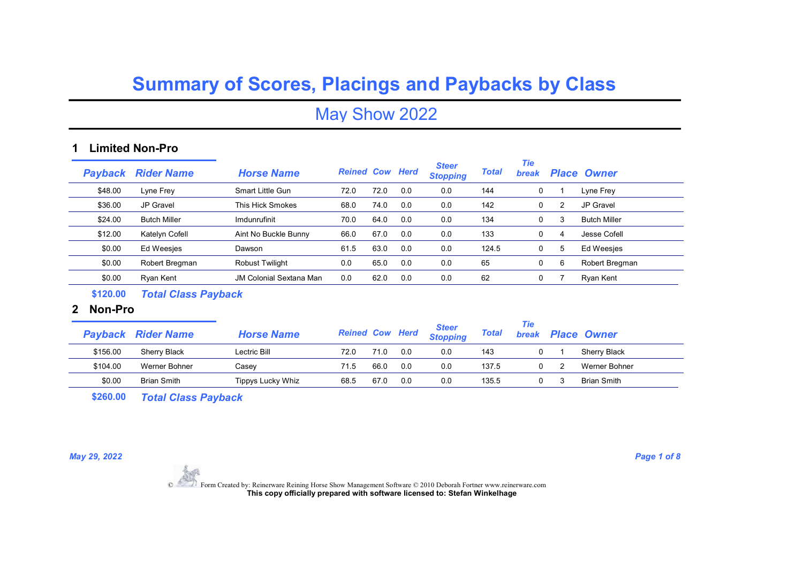May Show 2022

### 1 Limited Non-Pro

|         | <b>Payback Rider Name</b> | <b>Horse Name</b>              | <b>Reined Cow Herd</b> |      |     | <b>Steer</b><br><b>Stopping</b> | <b>Total</b> | <b>Tie</b><br><b>break</b> |   | <b>Place Owner</b>  |
|---------|---------------------------|--------------------------------|------------------------|------|-----|---------------------------------|--------------|----------------------------|---|---------------------|
| \$48.00 | Lyne Frey                 | <b>Smart Little Gun</b>        | 72.0                   | 72.0 | 0.0 | 0.0                             | 144          | 0                          |   | Lyne Frey           |
| \$36.00 | JP Gravel                 | This Hick Smokes               | 68.0                   | 74.0 | 0.0 | 0.0                             | 142          | 0                          | 2 | <b>JP Gravel</b>    |
| \$24.00 | <b>Butch Miller</b>       | Imdunrufinit                   | 70.0                   | 64.0 | 0.0 | 0.0                             | 134          | 0                          | 3 | <b>Butch Miller</b> |
| \$12.00 | Katelyn Cofell            | Aint No Buckle Bunny           | 66.0                   | 67.0 | 0.0 | 0.0                             | 133          | 0                          | 4 | Jesse Cofell        |
| \$0.00  | Ed Weesjes                | Dawson                         | 61.5                   | 63.0 | 0.0 | 0.0                             | 124.5        | 0                          | 5 | Ed Weesjes          |
| \$0.00  | Robert Bregman            | <b>Robust Twilight</b>         | 0.0                    | 65.0 | 0.0 | 0.0                             | 65           | 0                          | 6 | Robert Bregman      |
| \$0.00  | Ryan Kent                 | <b>JM Colonial Sextana Man</b> | 0.0                    | 62.0 | 0.0 | 0.0                             | 62           | 0                          |   | Rvan Kent           |
|         |                           |                                |                        |      |     |                                 |              |                            |   |                     |

\$120.00 Total Class Payback

#### 2 Non-Pro

|          | <b>Payback Rider Name</b> | <b>Horse Name</b> | <b>Reined Cow Herd</b> |      |     | <b>Steer</b><br><b>Stopping</b> | <b>Total</b> | Tie<br><b>break</b> | <b>Place Owner</b>  |
|----------|---------------------------|-------------------|------------------------|------|-----|---------------------------------|--------------|---------------------|---------------------|
| \$156.00 | Sherry Black              | Lectric Bill      | 72.0                   |      | 0.0 | 0.0                             | 143          |                     | <b>Sherry Black</b> |
| \$104.00 | Werner Bohner             | Casev             | 71.5                   | 66.0 | 0.0 | 0.0                             | 137.5        |                     | Werner Bohner       |
| \$0.00   | <b>Brian Smith</b>        | Tippys Lucky Whiz | 68.5                   | 67.0 | 0.0 | 0.0                             | 135.5        |                     | <b>Brian Smith</b>  |

\$260.00 Total Class Payback

May 29, 2022 **Page 1 of 8**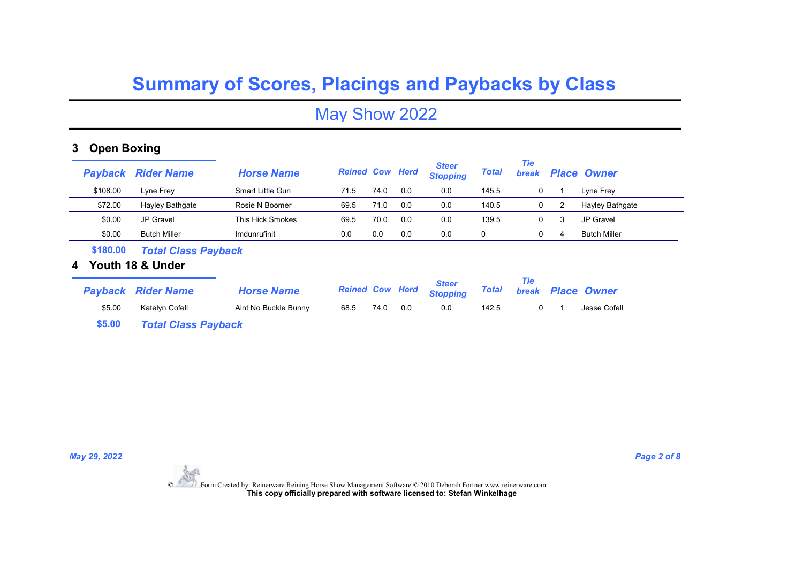May Show 2022

### 3 Open Boxing

|   | Payback        | <b>Rider Name</b>          | <b>Horse Name</b>       | <b>Reined Cow Herd</b> |      |     | <b>Steer</b><br><b>Stopping</b> | <b>Total</b> | Tie<br><b>break</b> |   | <b>Place Owner</b>     |
|---|----------------|----------------------------|-------------------------|------------------------|------|-----|---------------------------------|--------------|---------------------|---|------------------------|
|   | \$108.00       | Lyne Frey                  | <b>Smart Little Gun</b> | 71.5                   | 74.0 | 0.0 | 0.0                             | 145.5        | 0                   |   | Lyne Frey              |
|   | \$72.00        | Hayley Bathgate            | Rosie N Boomer          | 69.5                   | 71.0 | 0.0 | 0.0                             | 140.5        | 0                   | 2 | <b>Hayley Bathgate</b> |
|   | \$0.00         | JP Gravel                  | This Hick Smokes        | 69.5                   | 70.0 | 0.0 | 0.0                             | 139.5        | 0                   | 3 | <b>JP Gravel</b>       |
|   | \$0.00         | <b>Butch Miller</b>        | Imdunrufinit            | 0.0                    | 0.0  | 0.0 | 0.0                             | 0            | 0                   | 4 | <b>Butch Miller</b>    |
|   | \$180.00       | <b>Total Class Payback</b> |                         |                        |      |     |                                 |              |                     |   |                        |
| 4 |                | Youth 18 & Under           |                         |                        |      |     |                                 |              |                     |   |                        |
|   | <b>Payback</b> | <b>Rider Name</b>          | <b>Horse Name</b>       | <b>Reined Cow Herd</b> |      |     | <b>Steer</b><br><b>Stopping</b> | <b>Total</b> | Tie<br><b>break</b> |   | <b>Place Owner</b>     |
|   | \$5.00         | Katelyn Cofell             | Aint No Buckle Bunny    | 68.5                   | 74.0 | 0.0 | 0.0                             | 142.5        | 0                   |   | Jesse Cofell           |

\$5.00 Total Class Payback

May 29, 2022 **Page 2 of 8**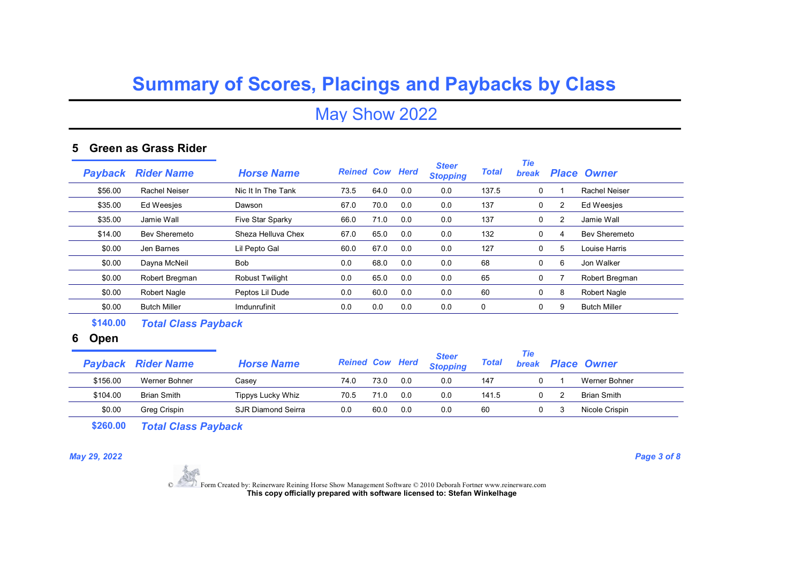## May Show 2022

### 5 Green as Grass Rider

| Pavback | <b>Rider Name</b>    | <b>Horse Name</b>      | <b>Reined Cow Herd</b> |      |     | <b>Steer</b><br><b>Stopping</b> | <b>Total</b> | Tie<br>break |   | <b>Place Owner</b>  |
|---------|----------------------|------------------------|------------------------|------|-----|---------------------------------|--------------|--------------|---|---------------------|
| \$56.00 | Rachel Neiser        | Nic It In The Tank     | 73.5                   | 64.0 | 0.0 | 0.0                             | 137.5        | 0            |   | Rachel Neiser       |
| \$35.00 | <b>Ed Weesjes</b>    | Dawson                 | 67.0                   | 70.0 | 0.0 | 0.0                             | 137          | 0            | 2 | Ed Weesjes          |
| \$35.00 | Jamie Wall           | Five Star Sparky       | 66.0                   | 71.0 | 0.0 | 0.0                             | 137          | 0            | 2 | Jamie Wall          |
| \$14.00 | <b>Bev Sheremeto</b> | Sheza Helluva Chex     | 67.0                   | 65.0 | 0.0 | 0.0                             | 132          | 0            | 4 | Bev Sheremeto       |
| \$0.00  | Jen Barnes           | Lil Pepto Gal          | 60.0                   | 67.0 | 0.0 | 0.0                             | 127          | 0            | 5 | Louise Harris       |
| \$0.00  | Dayna McNeil         | <b>Bob</b>             | 0.0                    | 68.0 | 0.0 | 0.0                             | 68           | 0            | 6 | Jon Walker          |
| \$0.00  | Robert Bregman       | <b>Robust Twilight</b> | 0.0                    | 65.0 | 0.0 | 0.0                             | 65           | 0            |   | Robert Bregman      |
| \$0.00  | Robert Nagle         | Peptos Lil Dude        | 0.0                    | 60.0 | 0.0 | 0.0                             | 60           | 0            | 8 | Robert Nagle        |
| \$0.00  | <b>Butch Miller</b>  | <b>Imdunrufinit</b>    | 0.0                    | 0.0  | 0.0 | 0.0                             | 0            | 0            | 9 | <b>Butch Miller</b> |

\$140.00 Total Class Payback

### 6 Open

|          | <b>Payback Rider Name</b> | <b>Horse Name</b>  | <b>Reined Cow Herd</b> |      |     | <b>Steer</b><br><b>Stopping</b> | Total | Tie<br><b>break</b> | <b>Place Owner</b> |
|----------|---------------------------|--------------------|------------------------|------|-----|---------------------------------|-------|---------------------|--------------------|
| \$156.00 | Werner Bohner             | Casev              | 74.0                   | 73.C | 0.0 | 0.0                             | 147   |                     | Werner Bohner      |
| \$104.00 | <b>Brian Smith</b>        | Tippys Lucky Whiz  | 70.5                   | 71.0 | 0.0 | 0.0                             | 141.5 |                     | <b>Brian Smith</b> |
| \$0.00   | Greg Crispin              | SJR Diamond Seirra | 0.0                    | 60.0 | 0.0 | 0.0                             | 60    |                     | Nicole Crispin     |

\$260.00 Total Class Payback

May 29, 2022 **Page 3 of 8**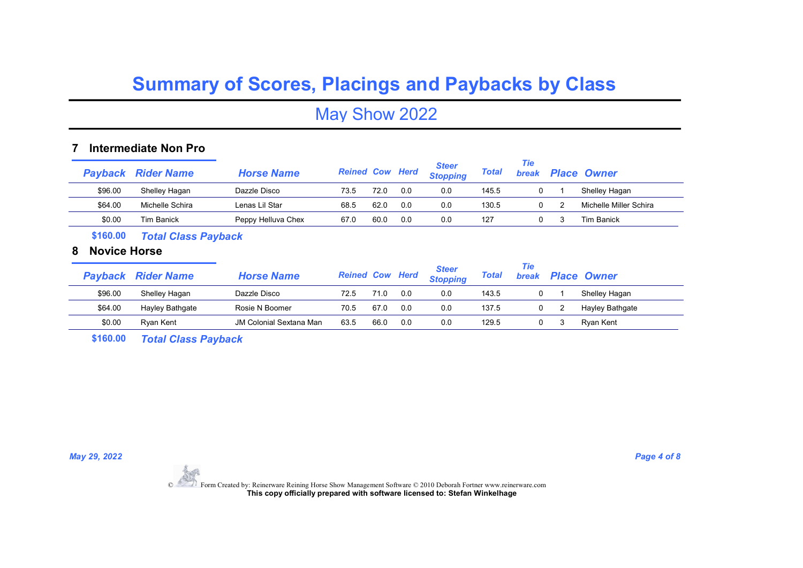## May Show 2022

#### 7 Intermediate Non Pro

|         | <b>Payback Rider Name</b> | <b>Horse Name</b>  | <b>Reined Cow Herd</b> |      |     | <b>Steer</b><br><b>Stopping</b> | <b>Total</b> | Tie<br><b>break</b> | <b>Place Owner</b>     |
|---------|---------------------------|--------------------|------------------------|------|-----|---------------------------------|--------------|---------------------|------------------------|
| \$96.00 | Shelley Hagan             | Dazzle Disco       | 73.5                   | 72.C | 0.0 | 0.0                             | 145.5        |                     | Shelley Hagan          |
| \$64.00 | Michelle Schira           | Lenas Lil Star     | 68.5                   | 62.0 | 0.0 | 0.0                             | 130.5        |                     | Michelle Miller Schira |
| \$0.00  | <b>Tim Banick</b>         | Peppy Helluva Chex | 67.0                   | 60.0 | 0.0 | 0.0                             | 127          |                     | <b>Tim Banick</b>      |

\$160.00 Total Class Payback

### 8 Novice Horse

|         | <b>Payback Rider Name</b> | <b>Horse Name</b>       | <b>Reined Cow Herd</b> |      |     | <b>Steer</b><br><b>Stopping</b> | <b>Total</b> | Tie<br><b>break</b> | <b>Place Owner</b> |
|---------|---------------------------|-------------------------|------------------------|------|-----|---------------------------------|--------------|---------------------|--------------------|
| \$96.00 | Shelley Hagan             | Dazzle Disco            | 72.5                   |      | 0.0 | 0.0                             | 143.5        |                     | Shelley Hagan      |
| \$64.00 | Hayley Bathgate           | Rosie N Boomer          | 70.5                   | 67.0 | 0.0 | 0.0                             | 137.5        |                     | Hayley Bathgate    |
| \$0.00  | Rvan Kent                 | JM Colonial Sextana Man | 63.5                   | 66.0 | 0.0 | 0.0                             | 129.5        |                     | Rvan Kent          |

\$160.00 Total Class Payback

May 29, 2022 **Page 4 of 8**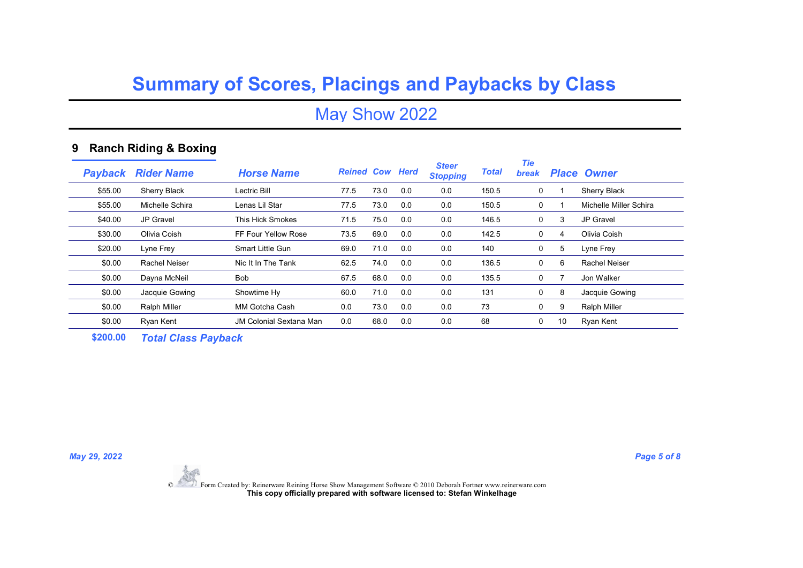## May Show 2022

### 9 Ranch Riding & Boxing

| Payback | <b>Rider Name</b>   | <b>Horse Name</b>              | <b>Reined Cow Herd</b> |      |     | <b>Steer</b><br><b>Stopping</b> | <b>Total</b> | <b>Tie</b><br><b>break</b> |    | <b>Place Owner</b>     |
|---------|---------------------|--------------------------------|------------------------|------|-----|---------------------------------|--------------|----------------------------|----|------------------------|
| \$55.00 | <b>Sherry Black</b> | Lectric Bill                   | 77.5                   | 73.0 | 0.0 | 0.0                             | 150.5        | 0                          |    | Sherry Black           |
| \$55.00 | Michelle Schira     | Lenas Lil Star                 | 77.5                   | 73.0 | 0.0 | 0.0                             | 150.5        | 0                          |    | Michelle Miller Schira |
| \$40.00 | JP Gravel           | <b>This Hick Smokes</b>        | 71.5                   | 75.0 | 0.0 | 0.0                             | 146.5        | 0                          | 3  | JP Gravel              |
| \$30.00 | Olivia Coish        | FF Four Yellow Rose            | 73.5                   | 69.0 | 0.0 | 0.0                             | 142.5        | 0                          | 4  | Olivia Coish           |
| \$20.00 | Lyne Frey           | <b>Smart Little Gun</b>        | 69.0                   | 71.0 | 0.0 | 0.0                             | 140          | 0                          | 5  | Lyne Frey              |
| \$0.00  | Rachel Neiser       | Nic It In The Tank             | 62.5                   | 74.0 | 0.0 | 0.0                             | 136.5        | 0                          | 6  | Rachel Neiser          |
| \$0.00  | Davna McNeil        | <b>Bob</b>                     | 67.5                   | 68.0 | 0.0 | 0.0                             | 135.5        | 0                          |    | Jon Walker             |
| \$0.00  | Jacquie Gowing      | Showtime Hy                    | 60.0                   | 71.0 | 0.0 | 0.0                             | 131          | 0                          | 8  | Jacquie Gowing         |
| \$0.00  | <b>Ralph Miller</b> | MM Gotcha Cash                 | 0.0                    | 73.0 | 0.0 | 0.0                             | 73           | 0                          | 9  | <b>Ralph Miller</b>    |
| \$0.00  | Ryan Kent           | <b>JM Colonial Sextana Man</b> | 0.0                    | 68.0 | 0.0 | 0.0                             | 68           | 0                          | 10 | Ryan Kent              |

\$200.00 Total Class Payback

May 29, 2022 **Page 5 of 8**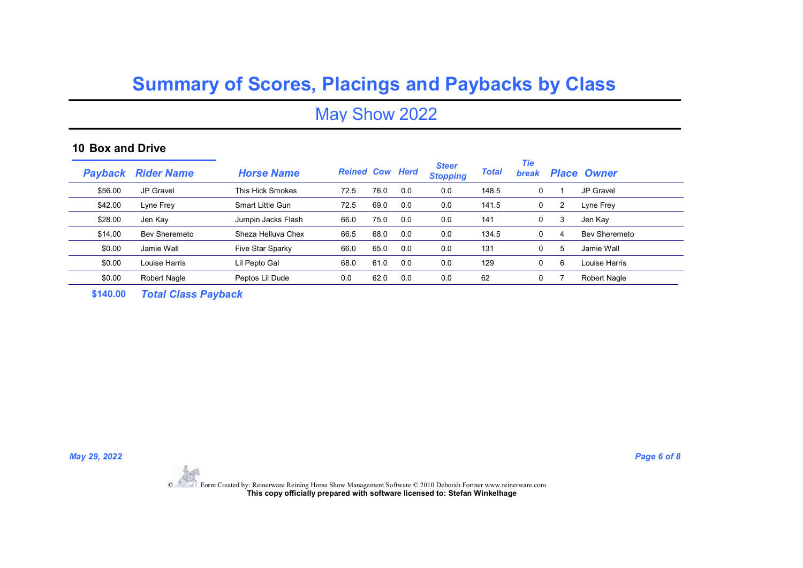May Show 2022

#### 10 Box and Drive

| Payback | <b>Rider Name</b>    | <b>Horse Name</b>       | <b>Reined Cow Herd</b> |      |     | <b>Steer</b><br><b>Stopping</b> | <b>Total</b> | Tie<br><b>break</b> |   | <b>Place Owner</b>   |
|---------|----------------------|-------------------------|------------------------|------|-----|---------------------------------|--------------|---------------------|---|----------------------|
| \$56.00 | JP Gravel            | This Hick Smokes        | 72.5                   | 76.0 | 0.0 | 0.0                             | 148.5        | 0                   |   | JP Gravel            |
| \$42.00 | Lyne Frey            | <b>Smart Little Gun</b> | 72.5                   | 69.0 | 0.0 | 0.0                             | 141.5        | 0                   | 2 | Lyne Frey            |
| \$28.00 | Jen Kay              | Jumpin Jacks Flash      | 66.0                   | 75.0 | 0.0 | 0.0                             | 141          | 0                   | 3 | Jen Kay              |
| \$14.00 | <b>Bev Sheremeto</b> | Sheza Helluva Chex      | 66.5                   | 68.0 | 0.0 | 0.0                             | 134.5        | 0                   | 4 | <b>Bev Sheremeto</b> |
| \$0.00  | Jamie Wall           | Five Star Sparky        | 66.0                   | 65.0 | 0.0 | 0.0                             | 131          | 0                   | 5 | Jamie Wall           |
| \$0.00  | Louise Harris        | Lil Pepto Gal           | 68.0                   | 61.0 | 0.0 | 0.0                             | 129          | 0                   | 6 | Louise Harris        |
| \$0.00  | Robert Nagle         | Peptos Lil Dude         | 0.0                    | 62.0 | 0.0 | 0.0                             | 62           | 0                   |   | Robert Nagle         |
|         |                      |                         |                        |      |     |                                 |              |                     |   |                      |

\$140.00 Total Class Payback

May 29, 2022 **Page 6 of 8**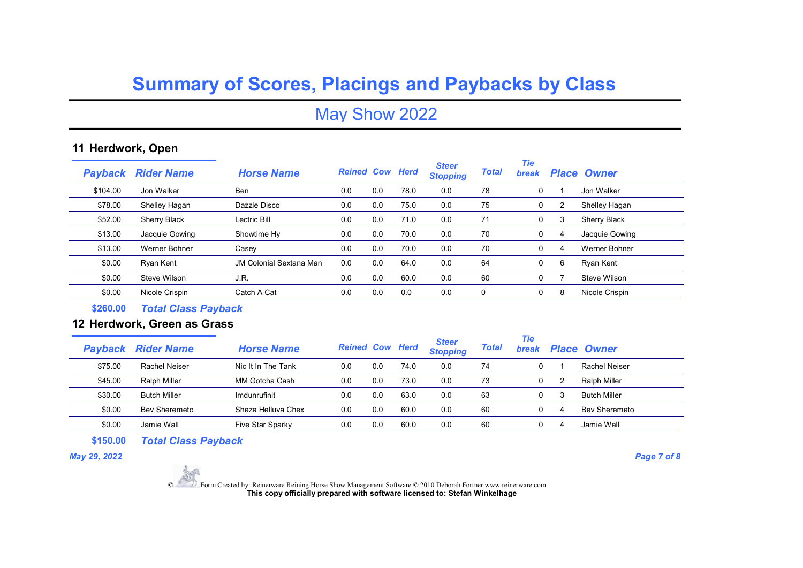May Show 2022

### 11 Herdwork, Open

| Pavback  | <b>Rider Name</b>    | <b>Horse Name</b>              | <b>Reined Cow Herd</b> |     |      | <b>Steer</b><br><b>Stopping</b> | <b>Total</b> | <b>Tie</b><br><b>break</b> |   | <b>Place Owner</b> |
|----------|----------------------|--------------------------------|------------------------|-----|------|---------------------------------|--------------|----------------------------|---|--------------------|
| \$104.00 | Jon Walker           | <b>Ben</b>                     | 0.0                    | 0.0 | 78.0 | 0.0                             | 78           | 0                          |   | Jon Walker         |
| \$78.00  | Shelley Hagan        | Dazzle Disco                   | 0.0                    | 0.0 | 75.0 | 0.0                             | 75           | 0                          | 2 | Shelley Hagan      |
| \$52.00  | Sherry Black         | Lectric Bill                   | 0.0                    | 0.0 | 71.0 | 0.0                             | 71           | 0                          | 3 | Sherry Black       |
| \$13.00  | Jacquie Gowing       | Showtime Hy                    | 0.0                    | 0.0 | 70.0 | 0.0                             | 70           | $\Omega$                   | 4 | Jacquie Gowing     |
| \$13.00  | <b>Werner Bohner</b> | Casey                          | 0.0                    | 0.0 | 70.0 | 0.0                             | 70           | 0                          | 4 | Werner Bohner      |
| \$0.00   | Ryan Kent            | <b>JM Colonial Sextana Man</b> | 0.0                    | 0.0 | 64.0 | 0.0                             | 64           | 0                          | 6 | Ryan Kent          |
| \$0.00   | Steve Wilson         | J.R.                           | 0.0                    | 0.0 | 60.0 | 0.0                             | 60           | 0                          |   | Steve Wilson       |
| \$0.00   | Nicole Crispin       | Catch A Cat                    | 0.0                    | 0.0 | 0.0  | 0.0                             | 0            | 0                          | 8 | Nicole Crispin     |
|          |                      |                                |                        |     |      |                                 |              |                            |   |                    |

\$260.00 Total Class Payback

### 12 Herdwork, Green as Grass

|         | <b>Payback Rider Name</b> | <b>Horse Name</b>  | <b>Reined Cow Herd</b> |     |      | <b>Steer</b><br><b>Stopping</b> | Total | Tie<br><b>break</b> |   | <b>Place Owner</b>  |
|---------|---------------------------|--------------------|------------------------|-----|------|---------------------------------|-------|---------------------|---|---------------------|
| \$75.00 | Rachel Neiser             | Nic It In The Tank | 0.0                    | 0.0 | 74.0 | 0.0                             | 74    |                     |   | Rachel Neiser       |
| \$45.00 | <b>Ralph Miller</b>       | MM Gotcha Cash     | 0.0                    | 0.0 | 73.0 | 0.0                             | 73    | 0                   |   | Ralph Miller        |
| \$30.00 | <b>Butch Miller</b>       | Imdunrufinit       | 0.0                    | 0.0 | 63.0 | 0.0                             | 63    | 0                   | 3 | <b>Butch Miller</b> |
| \$0.00  | Bev Sheremeto             | Sheza Helluva Chex | 0.0                    | 0.0 | 60.0 | 0.0                             | 60    |                     | 4 | Bev Sheremeto       |
| \$0.00  | Jamie Wall                | Five Star Sparky   | 0.0                    | 0.0 | 60.0 | 0.0                             | 60    |                     | 4 | Jamie Wall          |

\$150.00 Total Class Payback

May 29, 2022 **Page 7 of 8**